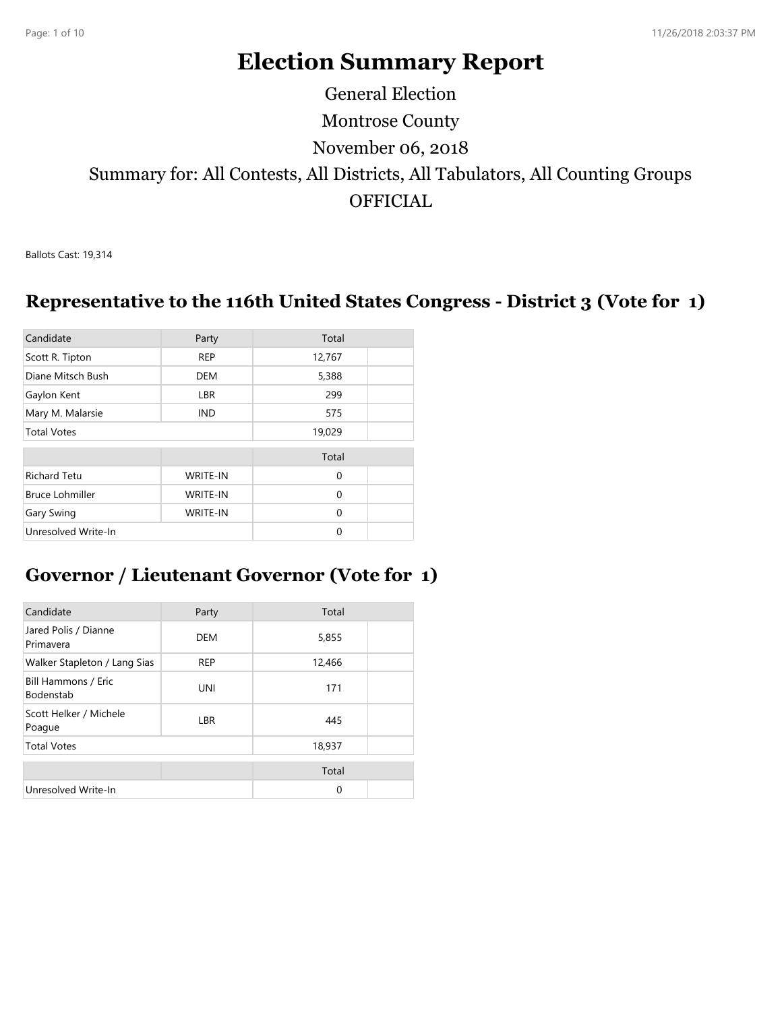# **Election Summary Report**

Montrose County Summary for: All Contests, All Districts, All Tabulators, All Counting Groups **OFFICIAL** November 06, 2018 General Election

Ballots Cast: 19,314

#### **Representative to the 116th United States Congress - District 3 (Vote for 1)**

| Candidate              | Party           | Total       |  |
|------------------------|-----------------|-------------|--|
| Scott R. Tipton        | <b>REP</b>      | 12,767      |  |
| Diane Mitsch Bush      | <b>DEM</b>      | 5,388       |  |
| Gaylon Kent            | LBR             | 299         |  |
| Mary M. Malarsie       | IND.            | 575         |  |
| <b>Total Votes</b>     |                 | 19,029      |  |
|                        |                 | Total       |  |
| <b>Richard Tetu</b>    | <b>WRITE-IN</b> | $\mathbf 0$ |  |
| <b>Bruce Lohmiller</b> | <b>WRITE-IN</b> | $\Omega$    |  |
| Gary Swing             | <b>WRITE-IN</b> | $\Omega$    |  |
| Unresolved Write-In    |                 | $\Omega$    |  |

#### **Governor / Lieutenant Governor (Vote for 1)**

| Candidate                               | Party      | Total       |  |
|-----------------------------------------|------------|-------------|--|
| Jared Polis / Dianne<br>Primavera       | DEM        | 5,855       |  |
| Walker Stapleton / Lang Sias            | <b>REP</b> | 12,466      |  |
| Bill Hammons / Eric<br><b>Bodenstab</b> | <b>UNI</b> | 171         |  |
| Scott Helker / Michele<br>Poague        | <b>LBR</b> | 445         |  |
| <b>Total Votes</b>                      |            | 18,937      |  |
|                                         |            | Total       |  |
| Unresolved Write-In                     |            | $\mathbf 0$ |  |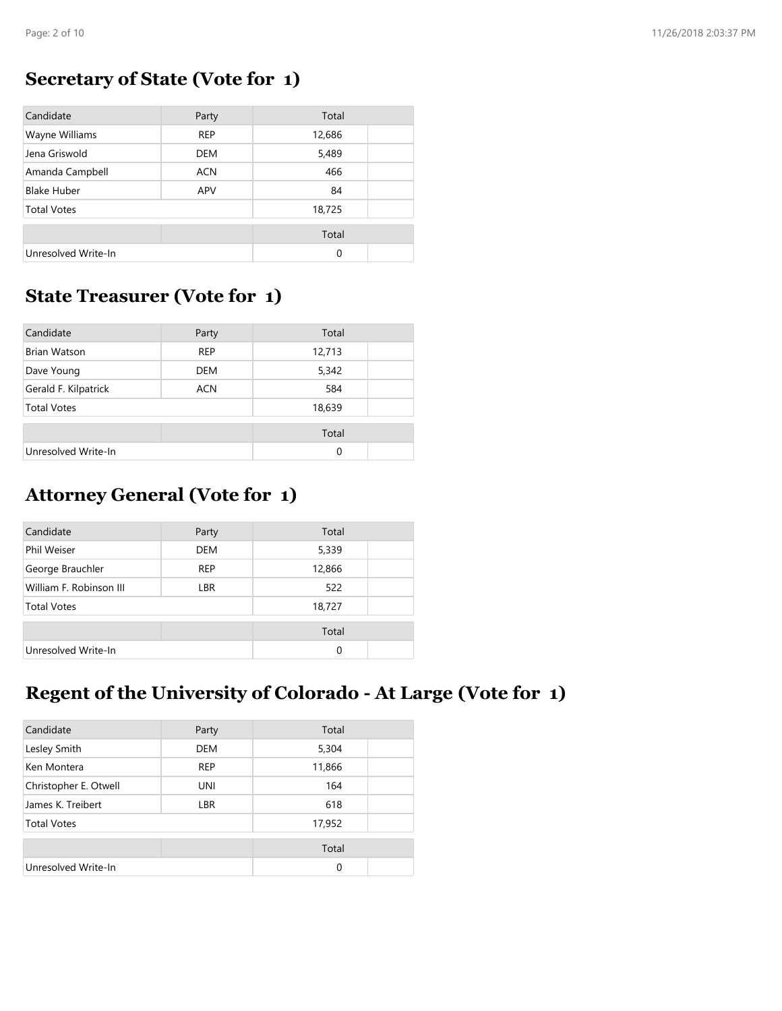### **Secretary of State (Vote for 1)**

| Candidate           | Party      | Total    |  |
|---------------------|------------|----------|--|
| Wayne Williams      | <b>REP</b> | 12,686   |  |
| Jena Griswold       | <b>DEM</b> | 5,489    |  |
| Amanda Campbell     | <b>ACN</b> | 466      |  |
| <b>Blake Huber</b>  | APV        | 84       |  |
| <b>Total Votes</b>  |            | 18,725   |  |
|                     |            | Total    |  |
| Unresolved Write-In |            | $\Omega$ |  |

#### **State Treasurer (Vote for 1)**

| Candidate            | Party      | Total    |  |
|----------------------|------------|----------|--|
| <b>Brian Watson</b>  | <b>REP</b> | 12,713   |  |
| Dave Young           | DEM        | 5,342    |  |
| Gerald F. Kilpatrick | <b>ACN</b> | 584      |  |
| <b>Total Votes</b>   |            | 18,639   |  |
|                      |            | Total    |  |
| Unresolved Write-In  |            | $\Omega$ |  |

# **Attorney General (Vote for 1)**

| Candidate               | Party      | Total    |  |
|-------------------------|------------|----------|--|
| Phil Weiser             | <b>DEM</b> | 5,339    |  |
| George Brauchler        | <b>REP</b> | 12,866   |  |
| William F. Robinson III | LBR        | 522      |  |
| <b>Total Votes</b>      |            | 18,727   |  |
|                         |            | Total    |  |
| Unresolved Write-In     |            | $\Omega$ |  |

## **Regent of the University of Colorado - At Large (Vote for 1)**

| Candidate             | Party      | Total    |  |
|-----------------------|------------|----------|--|
| Lesley Smith          | <b>DEM</b> | 5,304    |  |
| Ken Montera           | <b>REP</b> | 11,866   |  |
| Christopher E. Otwell | UNI        | 164      |  |
| James K. Treibert     | <b>LBR</b> | 618      |  |
| <b>Total Votes</b>    |            | 17,952   |  |
|                       |            | Total    |  |
| Unresolved Write-In   |            | $\Omega$ |  |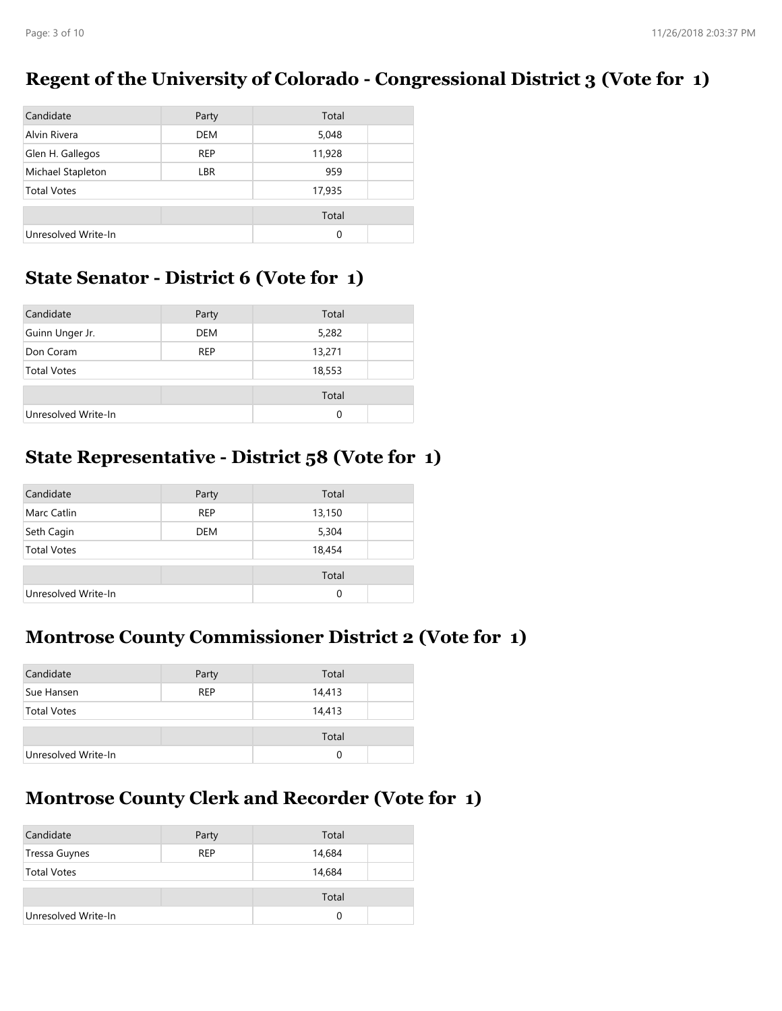#### **Regent of the University of Colorado - Congressional District 3 (Vote for 1)**

| Candidate           | Party      | Total  |  |
|---------------------|------------|--------|--|
| Alvin Rivera        | DEM        | 5,048  |  |
| Glen H. Gallegos    | <b>REP</b> | 11,928 |  |
| Michael Stapleton   | <b>LBR</b> | 959    |  |
| <b>Total Votes</b>  |            | 17,935 |  |
|                     |            | Total  |  |
| Unresolved Write-In |            | 0      |  |

### **State Senator - District 6 (Vote for 1)**

| Candidate           | Party      | Total    |
|---------------------|------------|----------|
| Guinn Unger Jr.     | DEM        | 5,282    |
| Don Coram           | <b>REP</b> | 13,271   |
| <b>Total Votes</b>  |            | 18,553   |
|                     |            | Total    |
| Unresolved Write-In |            | $\Omega$ |

#### **State Representative - District 58 (Vote for 1)**

| Candidate           | Party      | Total    |  |
|---------------------|------------|----------|--|
| <b>Marc Catlin</b>  | <b>REP</b> | 13,150   |  |
| Seth Cagin          | <b>DEM</b> | 5,304    |  |
| <b>Total Votes</b>  |            | 18,454   |  |
|                     |            | Total    |  |
| Unresolved Write-In |            | $\Omega$ |  |

### **Montrose County Commissioner District 2 (Vote for 1)**

| Candidate           | Party      | Total  |  |
|---------------------|------------|--------|--|
| Sue Hansen          | <b>REP</b> | 14,413 |  |
| <b>Total Votes</b>  |            | 14,413 |  |
|                     |            | Total  |  |
| Unresolved Write-In |            | 0      |  |

### **Montrose County Clerk and Recorder (Vote for 1)**

| Candidate           | Party      | Total  |
|---------------------|------------|--------|
| Tressa Guynes       | <b>REP</b> | 14,684 |
| <b>Total Votes</b>  |            | 14,684 |
|                     |            | Total  |
| Unresolved Write-In |            | 0      |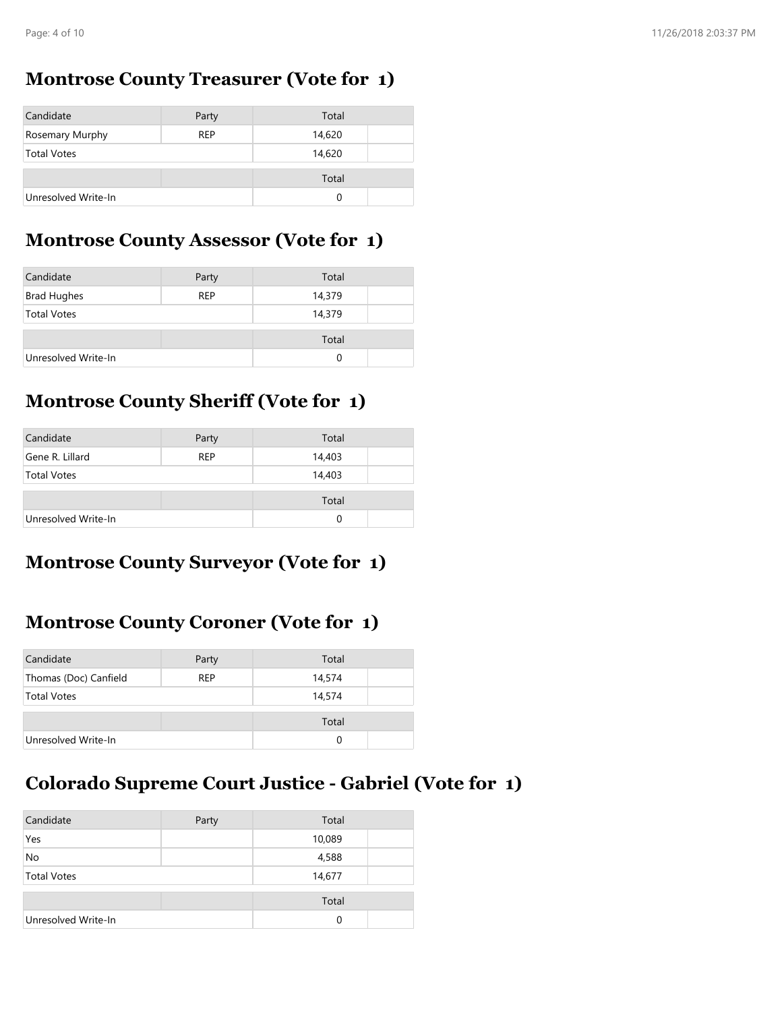#### **Montrose County Treasurer (Vote for 1)**

| Candidate           | Party      | Total  |  |
|---------------------|------------|--------|--|
| Rosemary Murphy     | <b>REP</b> | 14,620 |  |
| <b>Total Votes</b>  |            | 14,620 |  |
|                     |            | Total  |  |
| Unresolved Write-In |            |        |  |

#### **Montrose County Assessor (Vote for 1)**

| Candidate           | Party      | Total  |  |
|---------------------|------------|--------|--|
| <b>Brad Hughes</b>  | <b>REP</b> | 14,379 |  |
| <b>Total Votes</b>  |            | 14,379 |  |
|                     |            | Total  |  |
| Unresolved Write-In |            | 0      |  |

### **Montrose County Sheriff (Vote for 1)**

| Candidate           | Party      | Total  |  |
|---------------------|------------|--------|--|
| Gene R. Lillard     | <b>REP</b> | 14,403 |  |
| <b>Total Votes</b>  |            | 14,403 |  |
|                     |            | Total  |  |
| Unresolved Write-In |            | 0      |  |

### **Montrose County Surveyor (Vote for 1)**

### **Montrose County Coroner (Vote for 1)**

| Candidate             | Party      | Total  |  |
|-----------------------|------------|--------|--|
| Thomas (Doc) Canfield | <b>REP</b> | 14,574 |  |
| <b>Total Votes</b>    |            | 14,574 |  |
|                       |            | Total  |  |
| Unresolved Write-In   |            | 0      |  |

## **Colorado Supreme Court Justice - Gabriel (Vote for 1)**

| Candidate           | Party | Total  |  |
|---------------------|-------|--------|--|
| Yes                 |       | 10,089 |  |
| No                  |       | 4,588  |  |
| <b>Total Votes</b>  |       | 14,677 |  |
|                     |       |        |  |
|                     |       | Total  |  |
| Unresolved Write-In |       | 0      |  |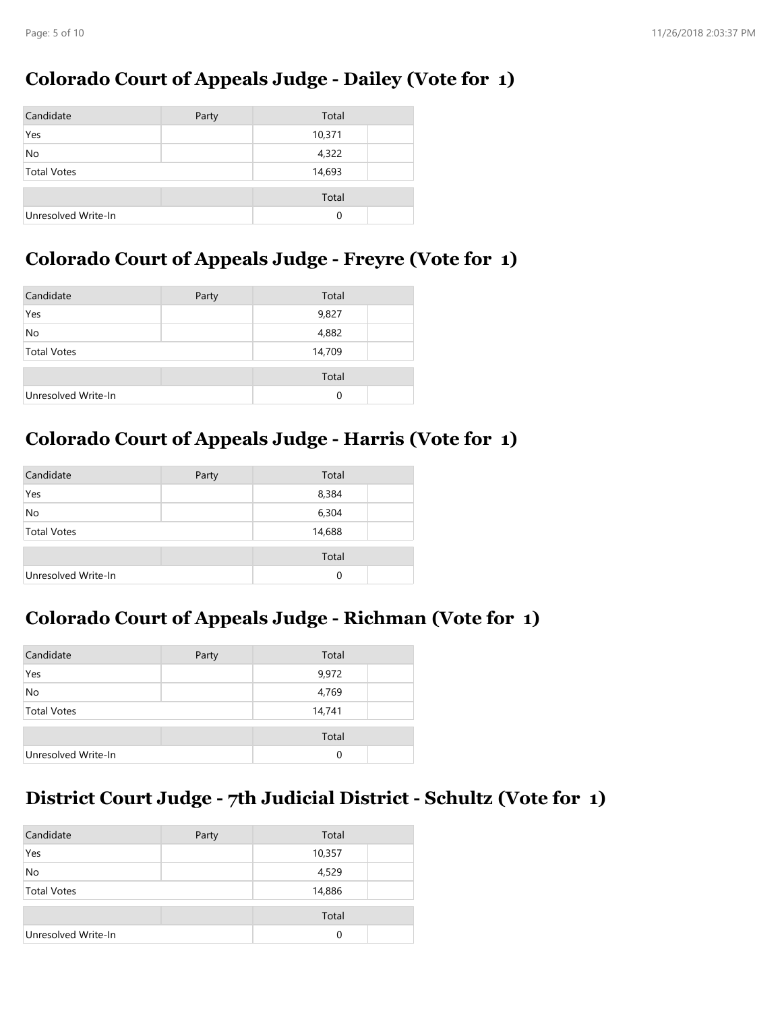#### **Colorado Court of Appeals Judge - Dailey (Vote for 1)**

| Candidate           | Party | Total  |  |
|---------------------|-------|--------|--|
| Yes                 |       | 10,371 |  |
| No                  |       | 4,322  |  |
| <b>Total Votes</b>  |       | 14,693 |  |
|                     |       |        |  |
|                     |       | Total  |  |
| Unresolved Write-In |       | 0      |  |

### **Colorado Court of Appeals Judge - Freyre (Vote for 1)**

| Candidate           | Party | Total  |  |
|---------------------|-------|--------|--|
| Yes                 |       | 9,827  |  |
| No                  |       | 4,882  |  |
| <b>Total Votes</b>  |       | 14,709 |  |
|                     |       | Total  |  |
| Unresolved Write-In |       | 0      |  |

## **Colorado Court of Appeals Judge - Harris (Vote for 1)**

| Candidate           | Party | Total  |  |
|---------------------|-------|--------|--|
| Yes                 |       | 8,384  |  |
| <b>No</b>           |       | 6,304  |  |
| <b>Total Votes</b>  |       | 14,688 |  |
|                     |       | Total  |  |
| Unresolved Write-In |       | 0      |  |

#### **Colorado Court of Appeals Judge - Richman (Vote for 1)**

| Candidate           | Party | Total  |  |
|---------------------|-------|--------|--|
| Yes                 |       | 9,972  |  |
| No                  |       | 4,769  |  |
| <b>Total Votes</b>  |       | 14,741 |  |
|                     |       | Total  |  |
| Unresolved Write-In |       | 0      |  |

# **District Court Judge - 7th Judicial District - Schultz (Vote for 1)**

| Candidate           | Party | Total    |  |
|---------------------|-------|----------|--|
| Yes                 |       | 10,357   |  |
| <b>No</b>           |       | 4,529    |  |
| <b>Total Votes</b>  |       | 14,886   |  |
|                     |       | Total    |  |
| Unresolved Write-In |       | $\Omega$ |  |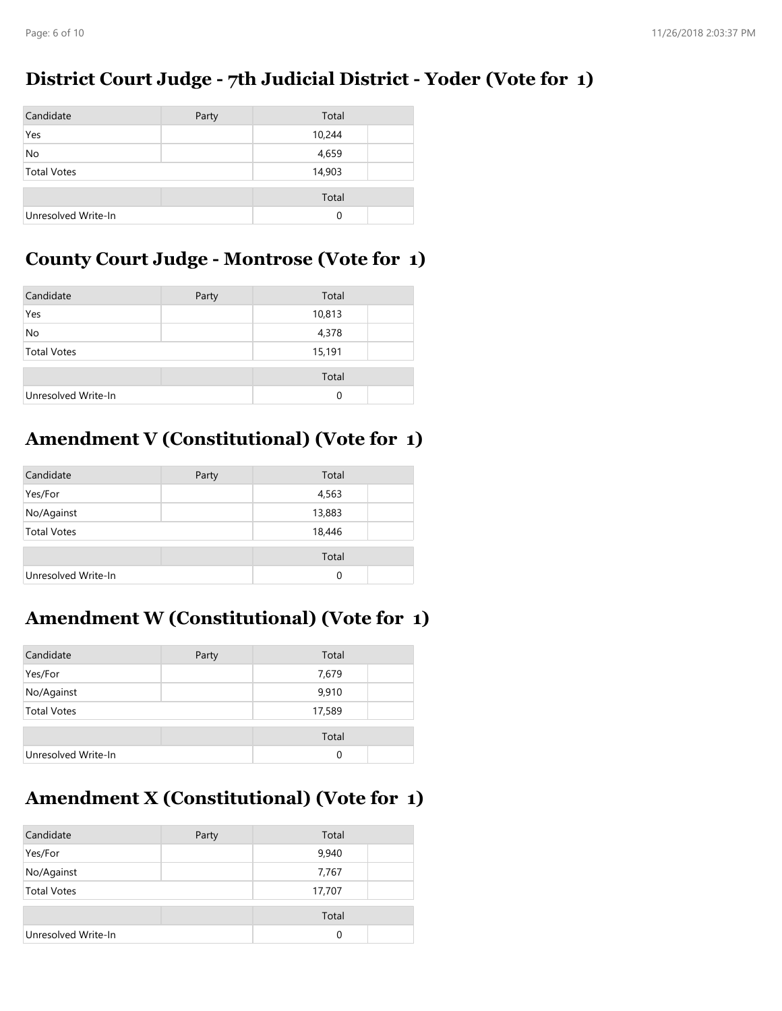#### **District Court Judge - 7th Judicial District - Yoder (Vote for 1)**

| Candidate           | Party | Total    |  |
|---------------------|-------|----------|--|
| Yes                 |       | 10,244   |  |
| No                  |       | 4,659    |  |
| <b>Total Votes</b>  |       | 14,903   |  |
|                     |       |          |  |
|                     |       | Total    |  |
| Unresolved Write-In |       | $\Omega$ |  |

#### **County Court Judge - Montrose (Vote for 1)**

| Candidate           | Party | Total    |  |
|---------------------|-------|----------|--|
| Yes                 |       | 10,813   |  |
| No                  |       | 4,378    |  |
| <b>Total Votes</b>  |       | 15,191   |  |
|                     |       | Total    |  |
| Unresolved Write-In |       | $\Omega$ |  |

### **Amendment V (Constitutional) (Vote for 1)**

| Candidate           | Party | Total    |  |
|---------------------|-------|----------|--|
| Yes/For             |       | 4,563    |  |
| No/Against          |       | 13,883   |  |
| <b>Total Votes</b>  |       | 18,446   |  |
|                     |       | Total    |  |
| Unresolved Write-In |       | $\Omega$ |  |

#### **Amendment W (Constitutional) (Vote for 1)**

| Candidate           | Party | Total  |  |
|---------------------|-------|--------|--|
| Yes/For             |       | 7,679  |  |
| No/Against          |       | 9,910  |  |
| <b>Total Votes</b>  |       | 17,589 |  |
|                     |       | Total  |  |
| Unresolved Write-In |       | 0      |  |

### **Amendment X (Constitutional) (Vote for 1)**

| Candidate           | Party | Total    |  |
|---------------------|-------|----------|--|
| Yes/For             |       | 9,940    |  |
| No/Against          |       | 7,767    |  |
| <b>Total Votes</b>  |       | 17,707   |  |
|                     |       | Total    |  |
| Unresolved Write-In |       | $\Omega$ |  |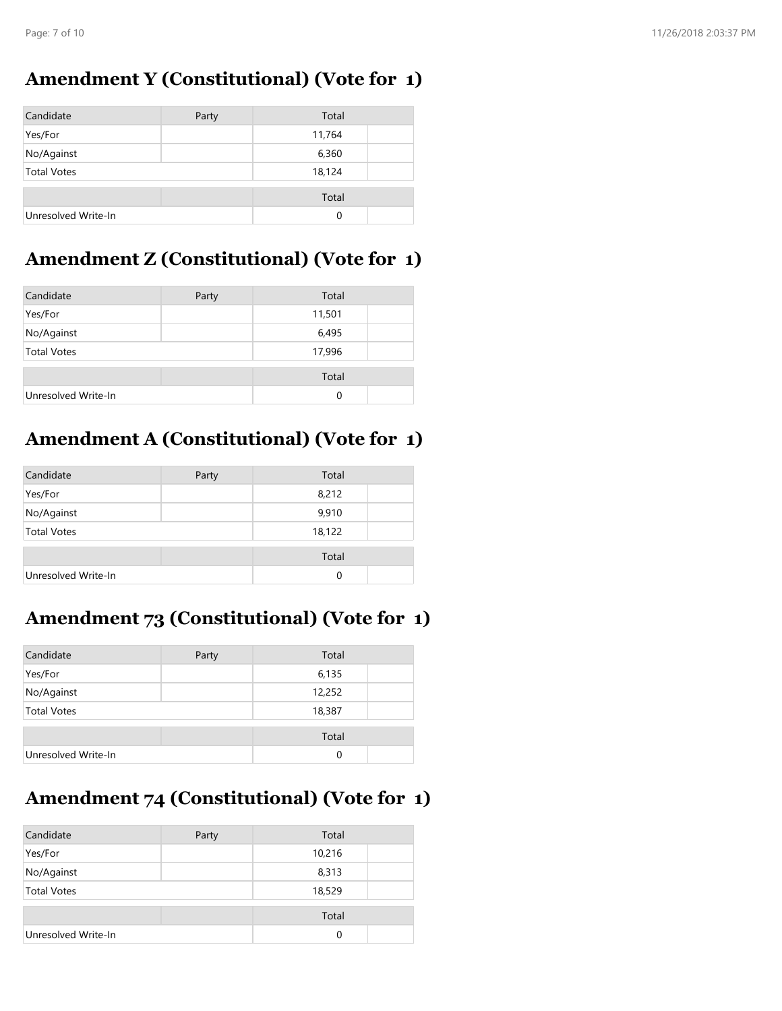#### **Amendment Y (Constitutional) (Vote for 1)**

| Candidate           | Party | Total    |  |
|---------------------|-------|----------|--|
| Yes/For             |       | 11,764   |  |
| No/Against          |       | 6,360    |  |
| <b>Total Votes</b>  |       | 18,124   |  |
|                     |       | Total    |  |
| Unresolved Write-In |       | $\Omega$ |  |

### **Amendment Z (Constitutional) (Vote for 1)**

| Candidate           | Party | Total  |  |
|---------------------|-------|--------|--|
| Yes/For             |       | 11,501 |  |
| No/Against          |       | 6,495  |  |
| <b>Total Votes</b>  |       | 17,996 |  |
|                     |       | Total  |  |
| Unresolved Write-In |       | 0      |  |

## **Amendment A (Constitutional) (Vote for 1)**

| Candidate           | Party | Total    |  |
|---------------------|-------|----------|--|
| Yes/For             |       | 8,212    |  |
| No/Against          |       | 9,910    |  |
| <b>Total Votes</b>  |       | 18,122   |  |
|                     |       | Total    |  |
| Unresolved Write-In |       | $\Omega$ |  |

## **Amendment 73 (Constitutional) (Vote for 1)**

| Candidate           | Party | Total  |  |
|---------------------|-------|--------|--|
| Yes/For             |       | 6,135  |  |
| No/Against          |       | 12,252 |  |
| <b>Total Votes</b>  |       | 18,387 |  |
|                     |       | Total  |  |
| Unresolved Write-In |       | 0      |  |

# **Amendment 74 (Constitutional) (Vote for 1)**

| Candidate           | Party | Total  |  |
|---------------------|-------|--------|--|
| Yes/For             |       | 10,216 |  |
| No/Against          |       | 8,313  |  |
| <b>Total Votes</b>  |       | 18,529 |  |
|                     |       | Total  |  |
| Unresolved Write-In |       | 0      |  |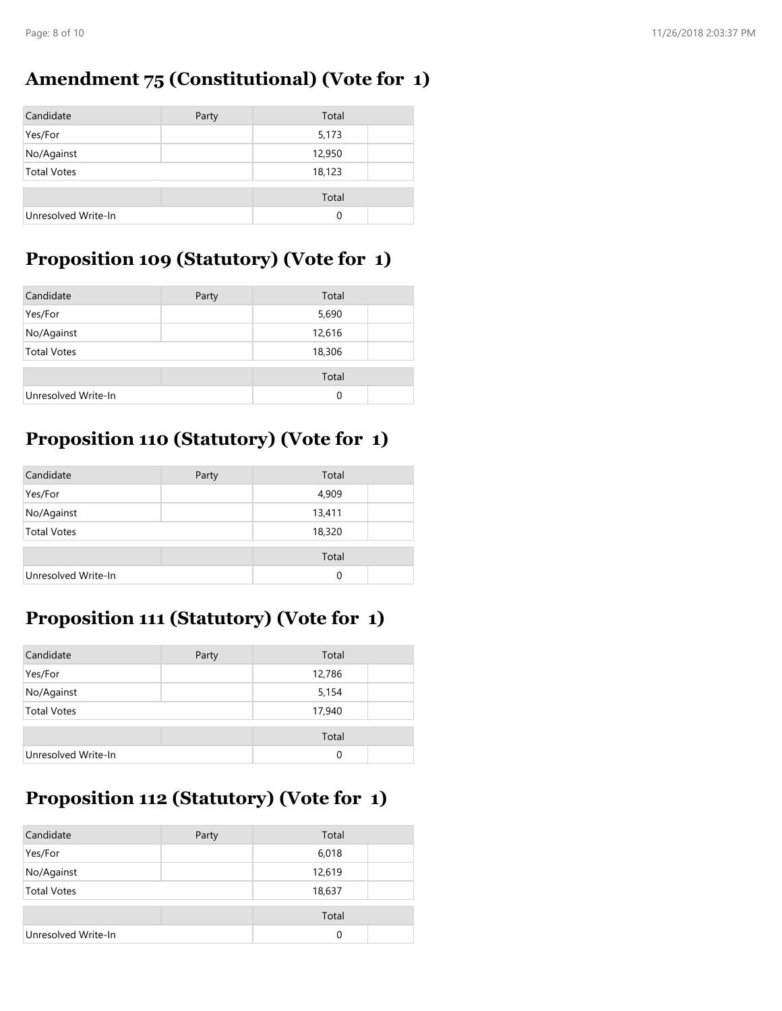## **Amendment 75 (Constitutional) (Vote for 1)**

| Candidate           | Party | Total    |  |
|---------------------|-------|----------|--|
| Yes/For             |       | 5,173    |  |
| No/Against          |       | 12,950   |  |
| <b>Total Votes</b>  |       | 18,123   |  |
|                     |       | Total    |  |
| Unresolved Write-In |       | $\Omega$ |  |

## **Proposition 109 (Statutory) (Vote for 1)**

| Candidate           | Party | Total    |  |
|---------------------|-------|----------|--|
| Yes/For             |       | 5,690    |  |
| No/Against          |       | 12,616   |  |
| <b>Total Votes</b>  |       | 18,306   |  |
|                     |       | Total    |  |
| Unresolved Write-In |       | $\Omega$ |  |

# **Proposition 110 (Statutory) (Vote for 1)**

| Candidate           | Party | Total  |  |
|---------------------|-------|--------|--|
| Yes/For             |       | 4,909  |  |
| No/Against          |       | 13,411 |  |
| <b>Total Votes</b>  |       | 18,320 |  |
|                     |       | Total  |  |
| Unresolved Write-In |       | 0      |  |

## **Proposition 111 (Statutory) (Vote for 1)**

| Candidate           | Party | Total  |  |
|---------------------|-------|--------|--|
| Yes/For             |       | 12,786 |  |
| No/Against          |       | 5,154  |  |
| <b>Total Votes</b>  |       | 17,940 |  |
|                     |       | Total  |  |
| Unresolved Write-In |       | 0      |  |

# **Proposition 112 (Statutory) (Vote for 1)**

| Candidate           | Party | Total  |  |
|---------------------|-------|--------|--|
| Yes/For             |       | 6,018  |  |
| No/Against          |       | 12,619 |  |
| <b>Total Votes</b>  |       | 18,637 |  |
|                     |       | Total  |  |
| Unresolved Write-In |       | 0      |  |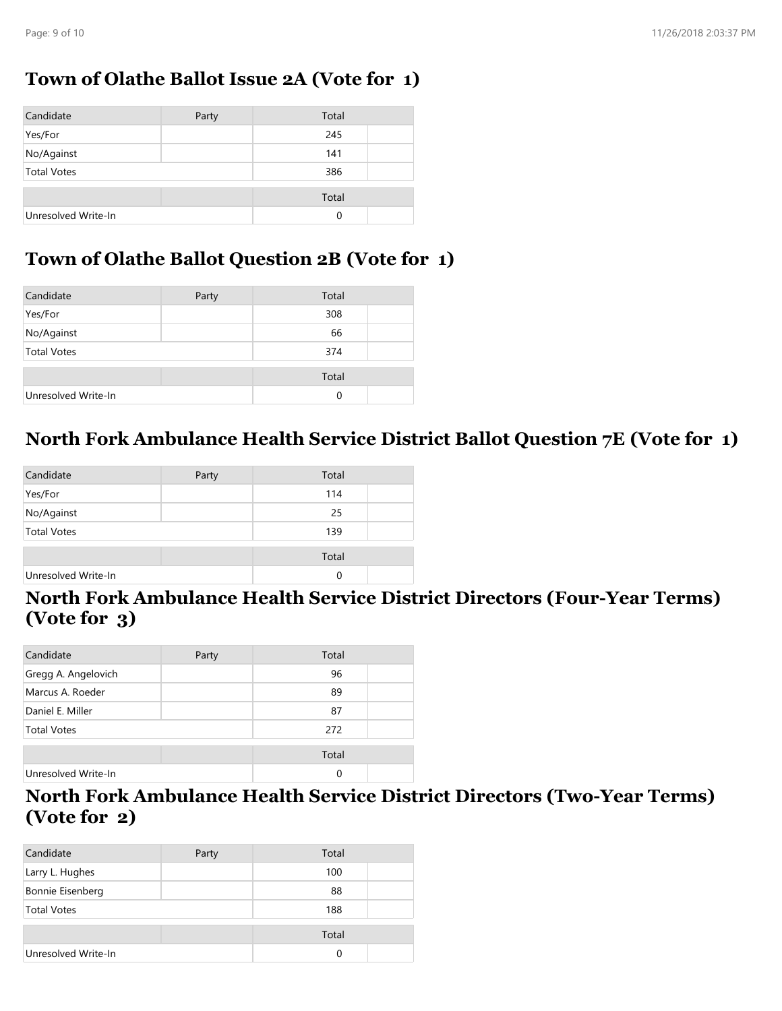#### **Town of Olathe Ballot Issue 2A (Vote for 1)**

| Candidate           | Party | Total    |  |
|---------------------|-------|----------|--|
| Yes/For             |       | 245      |  |
| No/Against          |       | 141      |  |
| <b>Total Votes</b>  |       | 386      |  |
|                     |       | Total    |  |
| Unresolved Write-In |       | $\Omega$ |  |

## **Town of Olathe Ballot Question 2B (Vote for 1)**

| Candidate           | Party | Total    |  |
|---------------------|-------|----------|--|
| Yes/For             |       | 308      |  |
| No/Against          |       | 66       |  |
| <b>Total Votes</b>  |       | 374      |  |
|                     |       | Total    |  |
| Unresolved Write-In |       | $\Omega$ |  |

#### **North Fork Ambulance Health Service District Ballot Question 7E (Vote for 1)**

| Candidate           | Party | Total |  |
|---------------------|-------|-------|--|
| Yes/For             |       | 114   |  |
| No/Against          |       | 25    |  |
| <b>Total Votes</b>  |       | 139   |  |
|                     |       | Total |  |
| Unresolved Write-In |       | 0     |  |

#### **North Fork Ambulance Health Service District Directors (Four-Year Terms) (Vote for 3)**

| Candidate           | Party | Total |  |
|---------------------|-------|-------|--|
| Gregg A. Angelovich |       | 96    |  |
| Marcus A. Roeder    |       | 89    |  |
| Daniel E. Miller    |       | 87    |  |
| <b>Total Votes</b>  |       | 272   |  |
|                     |       | Total |  |
| Unresolved Write-In |       | 0     |  |

#### **North Fork Ambulance Health Service District Directors (Two-Year Terms) (Vote for 2)**

| Candidate           | Party | Total |  |
|---------------------|-------|-------|--|
| Larry L. Hughes     |       | 100   |  |
| Bonnie Eisenberg    |       | 88    |  |
| <b>Total Votes</b>  |       | 188   |  |
|                     |       | Total |  |
|                     |       |       |  |
| Unresolved Write-In |       | 0     |  |